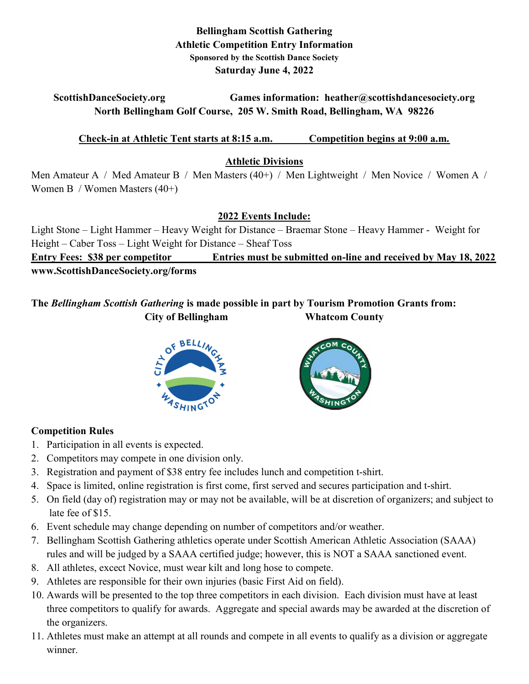## Bellingham Scottish Gathering Athletic Competition Entry Information Sponsored by the Scottish Dance Society Saturday June 4, 2022

## ScottishDanceSociety.org Games information: heather@scottishdancesociety.org North Bellingham Golf Course, 205 W. Smith Road, Bellingham, WA 98226

#### Check-in at Athletic Tent starts at 8:15 a.m. Competition begins at 9:00 a.m.

#### Athletic Divisions

Men Amateur A / Med Amateur B / Men Masters (40+) / Men Lightweight / Men Novice / Women A / Women B / Women Masters (40+)

## 2022 Events Include:

Light Stone – Light Hammer – Heavy Weight for Distance – Braemar Stone – Heavy Hammer - Weight for Height – Caber Toss – Light Weight for Distance – Sheaf Toss Entry Fees: \$38 per competitor Entries must be submitted on-line and received by May 18, 2022 www.ScottishDanceSociety.org/forms

# The Bellingham Scottish Gathering is made possible in part by Tourism Promotion Grants from: City of Bellingham Whatcom County





## Competition Rules

- 1. Participation in all events is expected.
- 2. Competitors may compete in one division only.
- 3. Registration and payment of \$38 entry fee includes lunch and competition t-shirt.
- 4. Space is limited, online registration is first come, first served and secures participation and t-shirt.
- 5. On field (day of) registration may or may not be available, will be at discretion of organizers; and subject to late fee of \$15.
- 6. Event schedule may change depending on number of competitors and/or weather.
- 7. Bellingham Scottish Gathering athletics operate under Scottish American Athletic Association (SAAA) rules and will be judged by a SAAA certified judge; however, this is NOT a SAAA sanctioned event.
- 8. All athletes, excect Novice, must wear kilt and long hose to compete.
- 9. Athletes are responsible for their own injuries (basic First Aid on field).
- 10. Awards will be presented to the top three competitors in each division. Each division must have at least three competitors to qualify for awards. Aggregate and special awards may be awarded at the discretion of the organizers.
- 11. Athletes must make an attempt at all rounds and compete in all events to qualify as a division or aggregate winner.